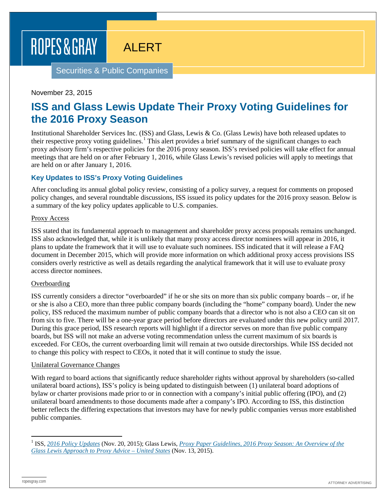# ROPES & GRAY

ALERT

Securities & Public Companies

# November 23, 2015

# **ISS and Glass Lewis Update Their Proxy Voting Guidelines for the 2016 Proxy Season**

Institutional Shareholder Services Inc. (ISS) and Glass, Lewis & Co. (Glass Lewis) have both released updates to their respective proxy voting guidelines.<sup>[1](#page-0-0)</sup> This alert provides a brief summary of the significant changes to each proxy advisory firm's respective policies for the 2016 proxy season. ISS's revised policies will take effect for annual meetings that are held on or after February 1, 2016, while Glass Lewis's revised policies will apply to meetings that are held on or after January 1, 2016.

# **Key Updates to ISS's Proxy Voting Guidelines**

After concluding its annual global policy review, consisting of a policy survey, a request for comments on proposed policy changes, and several roundtable discussions, ISS issued its policy updates for the 2016 proxy season. Below is a summary of the key policy updates applicable to U.S. companies.

# Proxy Access

ISS stated that its fundamental approach to management and shareholder proxy access proposals remains unchanged. ISS also acknowledged that, while it is unlikely that many proxy access director nominees will appear in 2016, it plans to update the framework that it will use to evaluate such nominees. ISS indicated that it will release a FAQ document in December 2015, which will provide more information on which additional proxy access provisions ISS considers overly restrictive as well as details regarding the analytical framework that it will use to evaluate proxy access director nominees.

# **Overboarding**

ISS currently considers a director "overboarded" if he or she sits on more than six public company boards – or, if he or she is also a CEO, more than three public company boards (including the "home" company board). Under the new policy, ISS reduced the maximum number of public company boards that a director who is not also a CEO can sit on from six to five. There will be a one-year grace period before directors are evaluated under this new policy until 2017. During this grace period, ISS research reports will highlight if a director serves on more than five public company boards, but ISS will not make an adverse voting recommendation unless the current maximum of six boards is exceeded. For CEOs, the current overboarding limit will remain at two outside directorships. While ISS decided not to change this policy with respect to CEOs, it noted that it will continue to study the issue.

#### Unilateral Governance Changes

With regard to board actions that significantly reduce shareholder rights without approval by shareholders (so-called unilateral board actions), ISS's policy is being updated to distinguish between (1) unilateral board adoptions of bylaw or charter provisions made prior to or in connection with a company's initial public offering (IPO), and (2) unilateral board amendments to those documents made after a company's IPO. According to ISS, this distinction better reflects the differing expectations that investors may have for newly public companies versus more established public companies.

<span id="page-0-0"></span> <sup>1</sup> ISS, *[2016 Policy Updates](http://www.issgovernance.com/policy-gateway/2016-policy-information/)* (Nov. 20, 2015); Glass Lewis, *[Proxy Paper Guidelines, 2016 Proxy Season: An Overview of the](http://www.glasslewis.com/assets/uploads/2015/11/GUIDELINES_United_States_20161.pdf)  [Glass Lewis Approach to Proxy Advice –](http://www.glasslewis.com/assets/uploads/2015/11/GUIDELINES_United_States_20161.pdf) United States* (Nov. 13, 2015).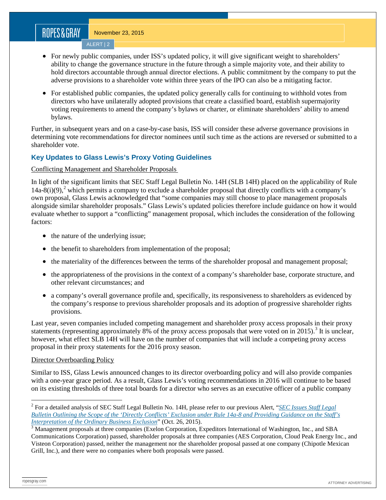# ROPES&GRAY

November 23, 2015 ALERT | 2

- For newly public companies, under ISS's updated policy, it will give significant weight to shareholders' ability to change the governance structure in the future through a simple majority vote, and their ability to hold directors accountable through annual director elections. A public commitment by the company to put the adverse provisions to a shareholder vote within three years of the IPO can also be a mitigating factor.
- For established public companies, the updated policy generally calls for continuing to withhold votes from directors who have unilaterally adopted provisions that create a classified board, establish supermajority voting requirements to amend the company's bylaws or charter, or eliminate shareholders' ability to amend bylaws.

Further, in subsequent years and on a case-by-case basis, ISS will consider these adverse governance provisions in determining vote recommendations for director nominees until such time as the actions are reversed or submitted to a shareholder vote.

# **Key Updates to Glass Lewis's Proxy Voting Guidelines**

# Conflicting Management and Shareholder Proposals

In light of the significant limits that SEC Staff Legal Bulletin No. 14H (SLB 14H) placed on the applicability of Rule  $14a-8(i)(9)$ ,<sup>[2](#page-1-0)</sup> which permits a company to exclude a shareholder proposal that directly conflicts with a company's own proposal, Glass Lewis acknowledged that "some companies may still choose to place management proposals alongside similar shareholder proposals." Glass Lewis's updated policies therefore include guidance on how it would evaluate whether to support a "conflicting" management proposal, which includes the consideration of the following factors:

- the nature of the underlying issue;
- the benefit to shareholders from implementation of the proposal;
- the materiality of the differences between the terms of the shareholder proposal and management proposal;
- the appropriateness of the provisions in the context of a company's shareholder base, corporate structure, and other relevant circumstances; and
- a company's overall governance profile and, specifically, its responsiveness to shareholders as evidenced by the company's response to previous shareholder proposals and its adoption of progressive shareholder rights provisions.

Last year, seven companies included competing management and shareholder proxy access proposals in their proxy statements (representing approximately 8% of the proxy access proposals that were voted on in 2015).<sup>[3](#page-1-1)</sup> It is unclear, however, what effect SLB 14H will have on the number of companies that will include a competing proxy access proposal in their proxy statements for the 2016 proxy season.

# Director Overboarding Policy

Similar to ISS, Glass Lewis announced changes to its director overboarding policy and will also provide companies with a one-year grace period. As a result, Glass Lewis's voting recommendations in 2016 will continue to be based on its existing thresholds of three total boards for a director who serves as an executive officer of a public company

<span id="page-1-0"></span> <sup>2</sup> For a detailed analysis of SEC Staff Legal Bulletin No. 14H, please refer to our previous Alert, "*[SEC Issues Staff Legal](http://www.ropesgray.com/newsroom/alerts/2015/October/SEC-Issues-Staff-Legal-Bulletin-Outlining-the-Scope-of-the-Directly-Conflicts-Exclusion-under.aspx)  [Bulletin Outlining the Scope of the 'Directly Conflicts' Exclusion under Rule 14a-8 and Providing Guidance on the Staff's](http://www.ropesgray.com/newsroom/alerts/2015/October/SEC-Issues-Staff-Legal-Bulletin-Outlining-the-Scope-of-the-Directly-Conflicts-Exclusion-under.aspx)  [Interpretation of the Ordinary Business Exclusion](http://www.ropesgray.com/newsroom/alerts/2015/October/SEC-Issues-Staff-Legal-Bulletin-Outlining-the-Scope-of-the-Directly-Conflicts-Exclusion-under.aspx)*" (Oct. 26, 2015). <sup>3</sup> Management proposals at three companies (Exelon Corporation, Expeditors International of Washington, Inc., and SBA

<span id="page-1-1"></span>Communications Corporation) passed, shareholder proposals at three companies (AES Corporation, Cloud Peak Energy Inc., and Visteon Corporation) passed, neither the management nor the shareholder proposal passed at one company (Chipotle Mexican Grill, Inc.), and there were no companies where both proposals were passed.